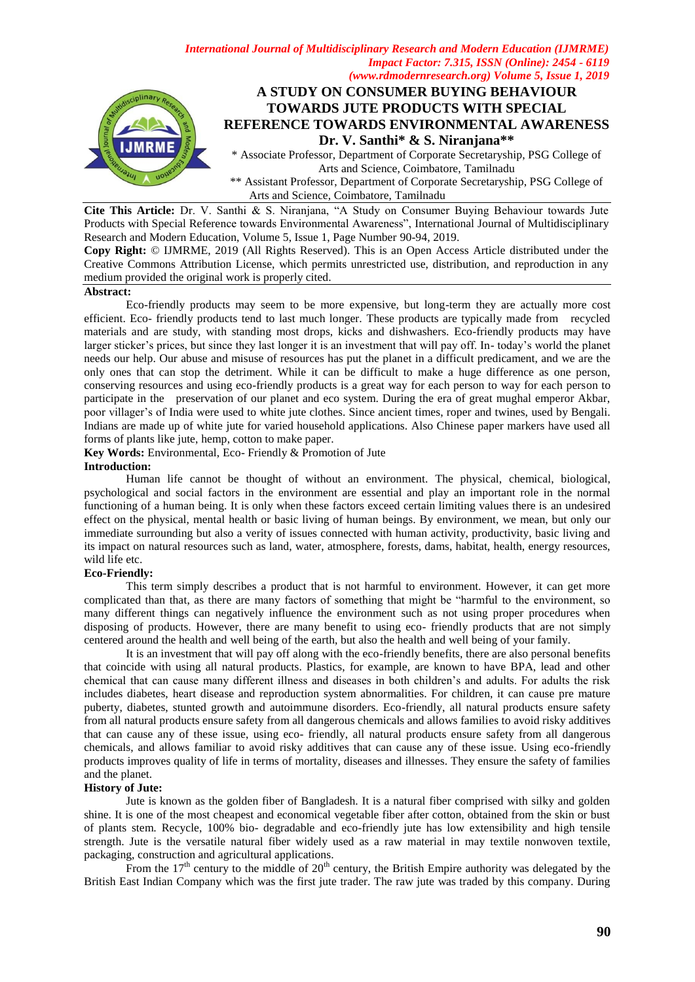

**Cite This Article:** Dr. V. Santhi & S. Niranjana, "A Study on Consumer Buying Behaviour towards Jute Products with Special Reference towards Environmental Awareness", International Journal of Multidisciplinary Research and Modern Education, Volume 5, Issue 1, Page Number 90-94, 2019.

**Copy Right:** © IJMRME, 2019 (All Rights Reserved). This is an Open Access Article distributed under the Creative Commons Attribution License, which permits unrestricted use, distribution, and reproduction in any medium provided the original work is properly cited.

#### **Abstract:**

 Eco-friendly products may seem to be more expensive, but long-term they are actually more cost efficient. Eco- friendly products tend to last much longer. These products are typically made from recycled materials and are study, with standing most drops, kicks and dishwashers. Eco-friendly products may have larger sticker's prices, but since they last longer it is an investment that will pay off. In- today's world the planet needs our help. Our abuse and misuse of resources has put the planet in a difficult predicament, and we are the only ones that can stop the detriment. While it can be difficult to make a huge difference as one person, conserving resources and using eco-friendly products is a great way for each person to way for each person to participate in the preservation of our planet and eco system. During the era of great mughal emperor Akbar, poor villager's of India were used to white jute clothes. Since ancient times, roper and twines, used by Bengali. Indians are made up of white jute for varied household applications. Also Chinese paper markers have used all forms of plants like jute, hemp, cotton to make paper.

Key Words: Environmental, Eco- Friendly & Promotion of Jute

#### **Introduction:**

Human life cannot be thought of without an environment. The physical, chemical, biological, psychological and social factors in the environment are essential and play an important role in the normal functioning of a human being. It is only when these factors exceed certain limiting values there is an undesired effect on the physical, mental health or basic living of human beings. By environment, we mean, but only our immediate surrounding but also a verity of issues connected with human activity, productivity, basic living and its impact on natural resources such as land, water, atmosphere, forests, dams, habitat, health, energy resources, wild life etc.

#### **Eco-Friendly:**

This term simply describes a product that is not harmful to environment. However, it can get more complicated than that, as there are many factors of something that might be "harmful to the environment, so many different things can negatively influence the environment such as not using proper procedures when disposing of products. However, there are many benefit to using eco- friendly products that are not simply centered around the health and well being of the earth, but also the health and well being of your family.

It is an investment that will pay off along with the eco-friendly benefits, there are also personal benefits that coincide with using all natural products. Plastics, for example, are known to have BPA, lead and other chemical that can cause many different illness and diseases in both children's and adults. For adults the risk includes diabetes, heart disease and reproduction system abnormalities. For children, it can cause pre mature puberty, diabetes, stunted growth and autoimmune disorders. Eco-friendly, all natural products ensure safety from all natural products ensure safety from all dangerous chemicals and allows families to avoid risky additives that can cause any of these issue, using eco- friendly, all natural products ensure safety from all dangerous chemicals, and allows familiar to avoid risky additives that can cause any of these issue. Using eco-friendly products improves quality of life in terms of mortality, diseases and illnesses. They ensure the safety of families and the planet.

#### **History of Jute:**

Jute is known as the golden fiber of Bangladesh. It is a natural fiber comprised with silky and golden shine. It is one of the most cheapest and economical vegetable fiber after cotton, obtained from the skin or bust of plants stem. Recycle, 100% bio- degradable and eco-friendly jute has low extensibility and high tensile strength. Jute is the versatile natural fiber widely used as a raw material in may textile nonwoven textile, packaging, construction and agricultural applications.

From the  $17<sup>th</sup>$  century to the middle of  $20<sup>th</sup>$  century, the British Empire authority was delegated by the British East Indian Company which was the first jute trader. The raw jute was traded by this company. During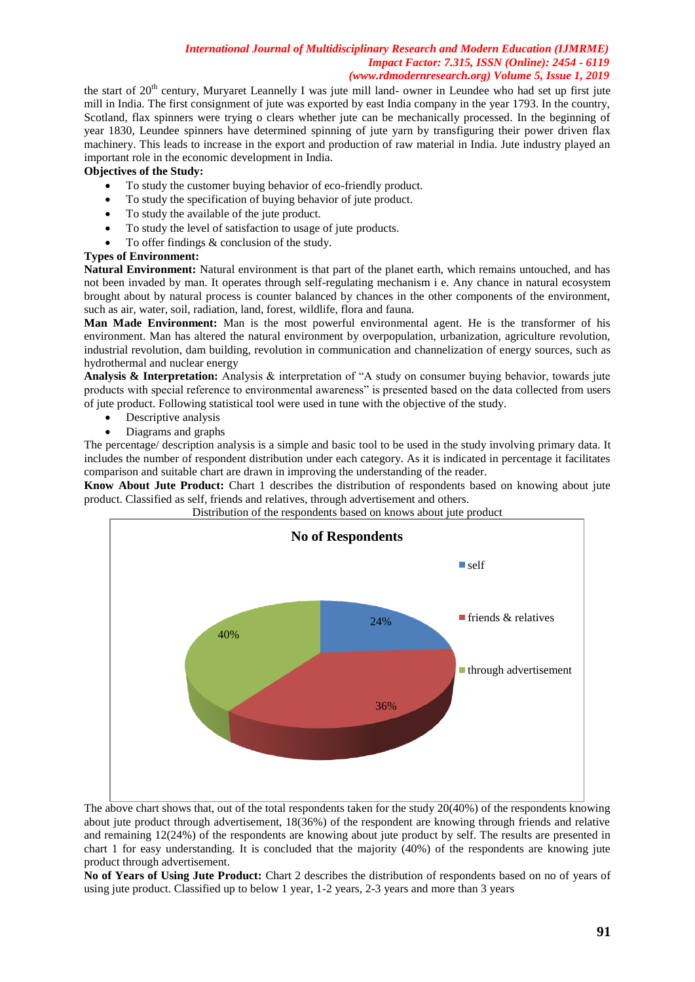the start of  $20<sup>th</sup>$  century, Muryaret Leannelly I was jute mill land- owner in Leundee who had set up first jute mill in India. The first consignment of jute was exported by east India company in the year 1793. In the country, Scotland, flax spinners were trying o clears whether jute can be mechanically processed. In the beginning of year 1830, Leundee spinners have determined spinning of jute yarn by transfiguring their power driven flax machinery. This leads to increase in the export and production of raw material in India. Jute industry played an important role in the economic development in India.

# **Objectives of the Study:**

- To study the customer buying behavior of eco-friendly product.
- To study the specification of buying behavior of jute product.
- To study the available of the jute product.
- To study the level of satisfaction to usage of jute products.
- To offer findings & conclusion of the study.

# **Types of Environment:**

**Natural Environment:** Natural environment is that part of the planet earth, which remains untouched, and has not been invaded by man. It operates through self-regulating mechanism i e. Any chance in natural ecosystem brought about by natural process is counter balanced by chances in the other components of the environment, such as air, water, soil, radiation, land, forest, wildlife, flora and fauna.

**Man Made Environment:** Man is the most powerful environmental agent. He is the transformer of his environment. Man has altered the natural environment by overpopulation, urbanization, agriculture revolution, industrial revolution, dam building, revolution in communication and channelization of energy sources, such as hydrothermal and nuclear energy

**Analysis & Interpretation:** Analysis & interpretation of "A study on consumer buying behavior, towards jute products with special reference to environmental awareness" is presented based on the data collected from users of jute product. Following statistical tool were used in tune with the objective of the study.

- Descriptive analysis
- Diagrams and graphs

The percentage/ description analysis is a simple and basic tool to be used in the study involving primary data. It includes the number of respondent distribution under each category. As it is indicated in percentage it facilitates comparison and suitable chart are drawn in improving the understanding of the reader.

**Know About Jute Product:** Chart 1 describes the distribution of respondents based on knowing about jute product. Classified as self, friends and relatives, through advertisement and others.



Distribution of the respondents based on knows about jute product

The above chart shows that, out of the total respondents taken for the study 20(40%) of the respondents knowing about jute product through advertisement, 18(36%) of the respondent are knowing through friends and relative and remaining 12(24%) of the respondents are knowing about jute product by self. The results are presented in chart 1 for easy understanding. It is concluded that the majority (40%) of the respondents are knowing jute product through advertisement.

**No of Years of Using Jute Product:** Chart 2 describes the distribution of respondents based on no of years of using jute product. Classified up to below 1 year, 1-2 years, 2-3 years and more than 3 years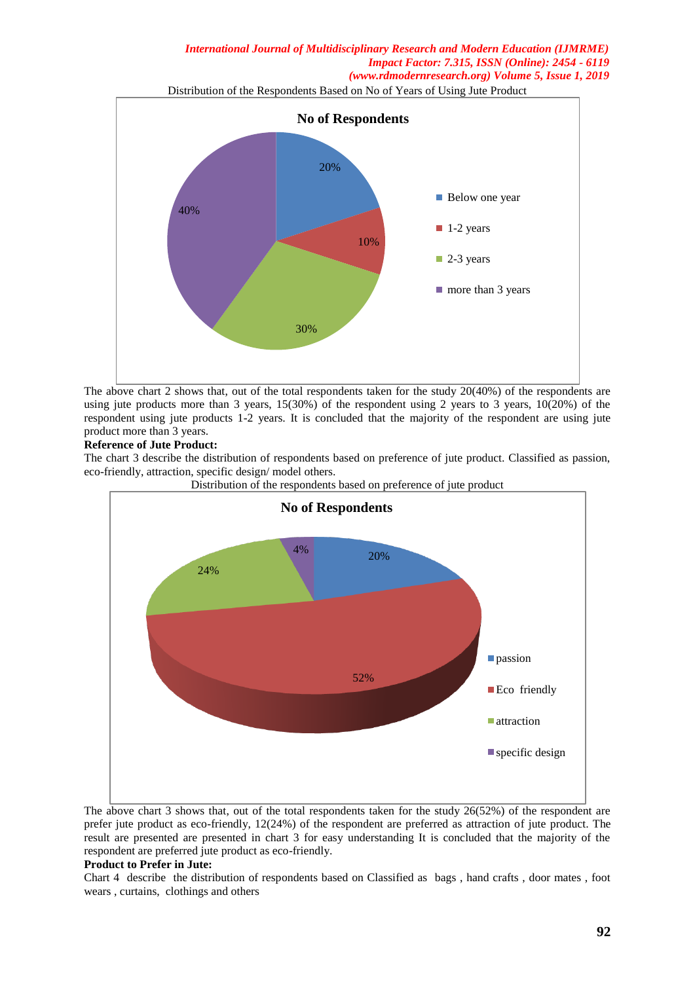Distribution of the Respondents Based on No of Years of Using Jute Product



The above chart 2 shows that, out of the total respondents taken for the study 20(40%) of the respondents are using jute products more than 3 years,  $15(30%)$  of the respondent using 2 years to 3 years,  $10(20%)$  of the respondent using jute products 1-2 years. It is concluded that the majority of the respondent are using jute product more than 3 years.

# **Reference of Jute Product:**

The chart 3 describe the distribution of respondents based on preference of jute product. Classified as passion, eco-friendly, attraction, specific design/ model others.



Distribution of the respondents based on preference of jute product

The above chart 3 shows that, out of the total respondents taken for the study 26(52%) of the respondent are prefer jute product as eco-friendly, 12(24%) of the respondent are preferred as attraction of jute product. The result are presented are presented in chart 3 for easy understanding It is concluded that the majority of the respondent are preferred jute product as eco-friendly.

#### **Product to Prefer in Jute:**

Chart 4describe the distribution of respondents based on Classified as bags , hand crafts , door mates , foot wears , curtains, clothings and others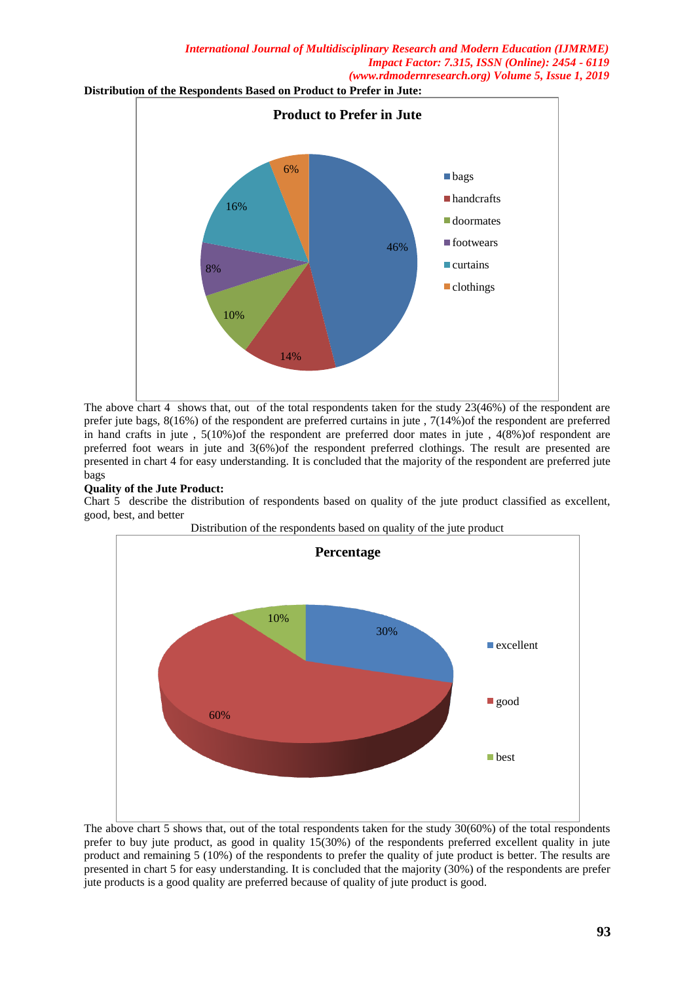**Distribution of the Respondents Based on Product to Prefer in Jute:**



The above chart 4 shows that, out of the total respondents taken for the study 23(46%) of the respondent are prefer jute bags, 8(16%) of the respondent are preferred curtains in jute , 7(14%)of the respondent are preferred in hand crafts in jute , 5(10%)of the respondent are preferred door mates in jute , 4(8%)of respondent are preferred foot wears in jute and 3(6%)of the respondent preferred clothings. The result are presented are presented in chart 4 for easy understanding. It is concluded that the majority of the respondent are preferred jute bags

# **Quality of the Jute Product:**

Chart 5 describe the distribution of respondents based on quality of the jute product classified as excellent, good, best, and better



The above chart 5 shows that, out of the total respondents taken for the study 30(60%) of the total respondents prefer to buy jute product, as good in quality 15(30%) of the respondents preferred excellent quality in jute product and remaining 5 (10%) of the respondents to prefer the quality of jute product is better. The results are presented in chart 5 for easy understanding. It is concluded that the majority (30%) of the respondents are prefer jute products is a good quality are preferred because of quality of jute product is good.

**93**